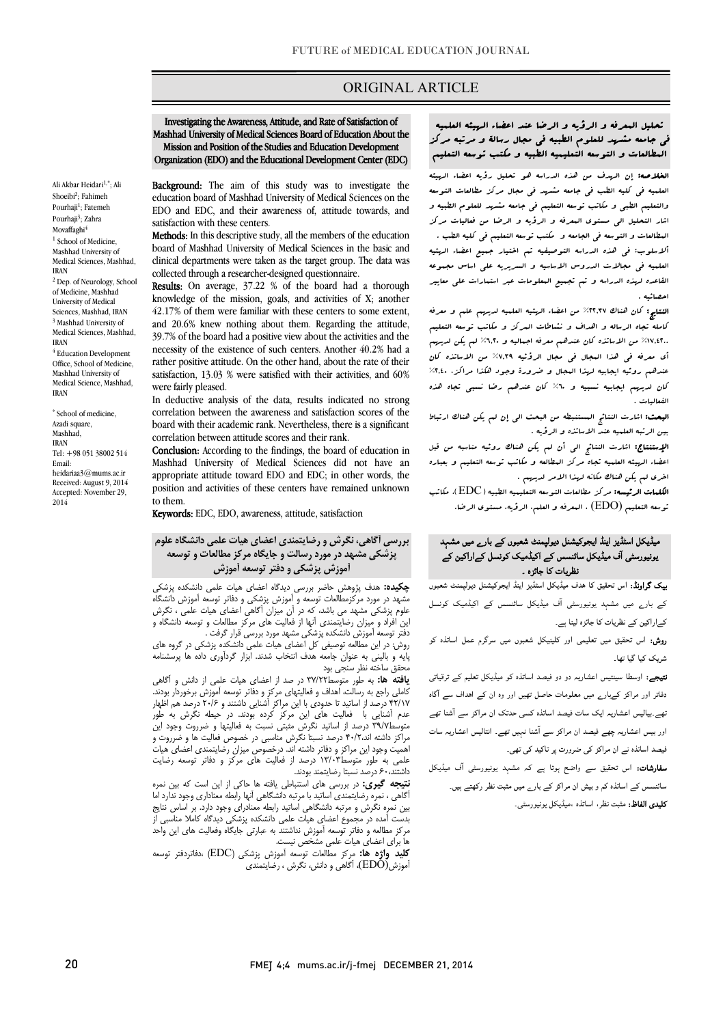### ORIGINAL ARTICLE

 Mashhad University of Medical Sciences Board of Education About the Mission and Position of the Studies and Education Development Organization (EDO) and the Educational Development Center (EDC) Investigating the Awareness, Attitude, and Rate of Satisfaction of

Ī

Ali Akbar Heidari<sup>1,\*</sup>; Ali Shoeibi<sup>2</sup>; Fahimeh Pourhaji<sup>1</sup>; Fatemeh Pourhaji<sup>3</sup>; Zahra Movaffaghi<sup>4</sup> <sup>1</sup> School of Medicine, Mashhad University of Medical Sciences, Mashhad, IRAN <sup>2</sup> Dep. of Neurology, School of Medicine, Mashhad University of Medical Sciences, Mashhad, IRAN <sup>3</sup> Mashhad University of Medical Sciences, Mashhad, IRAN <sup>4</sup> Education Development Office, School of Medicine, Mashhad University of Medical Science, Mashhad, IRAN

\* School of medicine, Azadi square, Mashhad, IRAN Tel: +98 051 38002 514 Email: heidariaa3@mums.ac.ir Received: August 9, 2014 Accepted: November 29, 2014

Background: The aim of this study was to investigate the education board of Mashhad University of Medical Sciences on the EDO and EDC, and their awareness of, attitude towards, and setisfection with these centers satisfaction with these centers.

Methods: In this descriptive study, all the members of the education board of Mashhad University of Medical Sciences in the basic and collected through a researcher-designed questionnaire. clinical departments were taken as the target group. The data was

 Results: On average, 37.22 % of the board had a thorough 42.17% of them were familiar with these centers to some extent, and 20.6% knew nothing about them. Regarding the attitude, 39.7% of the board had a positive view about the activities and the rather positive attitude. On the other hand, about the rate of their satisfaction, 13.03 % were satisfied with their activities, and 60% knowledge of the mission, goals, and activities of X; another necessity of the existence of such centers. Another 40.2% had a were fairly pleased.

were latify preased.<br>In deductive analysis of the data, results indicated no strong correlation between the awareness and satisfaction scores of the board with their academic rank. Nevertheless, there is a significant correlation between attitude scores and their rank.

**Conclusion:** According to the findings, the board of education in Mashhad University of Medical Sciences did not have an position and activities of these centers have remained unknown appropriate attitude toward EDO and EDC; in other words, the to them.

Keywords: EDC, EDO, awareness, attitude, satisfaction

# بررسی آگاهی، نگرش و رضایتمندي اعضاي هیات علمی دانشگاه علوم پزشکی مشهد در مورد رسالت و جایگاه مرکز مطالعات و توسعه آموزش پزشکی و دفتر توسعه آموزش

ė Î این افراد و میزان رضایتمندي آنها از فعالیت هاي مرکز مطالعات و توسعه دانشگاه و دفتر توسعه آموزش دانشکده پزشکی مشهد مورد بررسی قرار گرفت .<br>شهد دارسیاللبرت به اکرام اعزام به حالت مارسان کوده کردن : شک چکیده: هدف پژوهش حاضر بررسی دیدگاه اعضاي هیات علمی دانشکده پزشکی مشهد در مورد مرکزمطالعات توسعه و آموزش پزشکی و دفاتر توسعه آموزش دانشگاه علوم پزشکی مشهد می باشد، که در آن میزان آگاهی اعضاي هیات علمی ، نگرش

 پایه و بالینی به عنوان جامعه هدف انتخاب شدند. ابزار گردآوري داده ها پرسشنامه روش: در این مطالعه توصیفی کل اعضاي هیات علمی دانشکده پزشکی در گروه هاي محقق ساخته نظر سنجی بود

محقق هاسته هغز سنجی بود<br>**یافته ها:** به طور متوسط۳۷/۲۲ در صد از اعضای هیات علمی از دانش و آگاهی کاملی راجع به رسالت، اهداف و فعالیتهاي مرکز و دفاتر توسعه آموزش برخوردار بودند. ۱۱٬۱۰۰ نرصد از اسانید با حدودی با این مرا بر استایی داشتند و ۱۰٬۰۰ نرصد هم اطهار<br>عدم آشنایی با هفالیت های این مرکز کرده بودند. در حیطه نگرش به طور متوسط39/7 درصد از اساتید نگرش مثبتی نسبت به فعالیتها و ضرروت وجود این  $\overline{1}$ ١ 42/17 درصد از اساتید تا حدودي با این مراکز آشنایی داشتند و 20/6 درصد هم اظهار مراکز داشته اند40/2، درصد نسبتا نگرش مناسبی در خصوص فعالیت ها و ضرروت و اهمیت وجود این مراکز و دفاتر داشته اند. درخصوص میزان رضایتمندي اعضاي هیات علمی به طور متوسط13/03 درصد از فعالیت هاي مرکز و دفاتر توسعه رضایت داشتند60، درصد نسبتا رضایتمند بودند.

 نتیجه گیري: در بررسی هاي استنباطی یافته ها حاکی از این است که بین نمره آگاهی ، نمره رضایتمندي اساتید با مرتبه دانشگاهی آنها رابطه معناداري وجود ندارد اما بین سرد درس و مرتب دست می شدید ربیت مسدری و بود درد. بر مسین تدین<br>بدست آمده در مجموع اعضای هیات علمی دانشکده پزشکی دیدگاه کاملا مناسبی از مرکز مطالعه و دفاتر توسعه آموزش نداشتند به عبارتی جایگاه وفعالیت هاي این واحد بین نمره نگرش و مرتبه دانشگاهی اساتید رابطه معنادراي وجود دارد. بر اساس نتایج ها براي اعضاي هیات علمی مشخص نیست.

í  $\ddot{ }$ کلید واژه ها: مرکز مطالعات توسعه آموزش پزشکی (EDC (،دفاتردفتر توسعه آموزش(EDO(، آگاهی و دانش، نگرش ، رضایتمندي

 تحلیل المعرفه و الرؤیه و الرضا عند اعضاء الهیئه العلمیه المطالعات و التوسعه التعلیمیه الطبیه و مکتب توسعه التعلیم فی جامعه مشهد للعلوم الطبیه فی مجال رسالۀ و مرتبه مرکز

Ī

ال**خلاصه:** إن الهدف من هذه الدراسه هو تحلیل رؤیه اعضاء الهیئه<br>. والتعلیم الطبی و مکاتب توسعه التعلیم فی جامعه مشهد للعلوم الطبیه و اشار التحلیل الی مستوي المعرفه و الرؤیه و الرضا من فعالیات مرکز المطالعات و التوسعه فی الجامعه و مکتب توسعه التعلیم فی کلیه الطب . ألاسلوب: فی هذه الدراسه التوصیفیه تم اختیار جمیع اعضاء الهئیه العلمیه فی مجالات الدروس الاساسیه و السریریه علی اساس مجموعه القاعده لهذه الدراسه و تم تجمیع المعلومات عبر استمارات علی معاییر العلمیه فی کلیه الطب فی جامعه مشهد فی مجال مرکز مطالعات التوسعه احصائیه .

 النتایج: کان هناك %22,37 من اعضاء الهئیه العلمیه لدیهم علم و معرفه کامله تجاه الرساله و اهداف و نشاطات المرکز و مکاتب توسعه التعلیم %17,42.. من الاساتذه کان عندهم معرفه اجمالیه و %6,20 لم یکن لدیهم أي معرفه فی هذا المجال فی مجال الرؤئیه %7,39 من الاساتذه کان عندهم روئیه ایجابیه لهذا المجال و ضرورة وجود هکذا مراکز، %2,40 کان لدیهم ایجابیه نسبیه و %60 کان عندهم رضا نسبی تجاه هذه الفعالیات .

.<br>ا**لبعث:** اشارت النتائج المستنبطه من البحث ال<sub>ی</sub> إن لم یکن هناك ارتباط بین الرتبه العلمیه عند الاساتذه و الرؤیه .

 الإستنتاج: اشارت النتائج الی أن لم یکن هناك روئیه مناسبه من قبل اعضاء الهیئه العلمیه تجاه مرکز المطالعه و مکاتب توسعه التعلیم و بعباره اخري لم یکن هناك مکانه لهذا الامر لدیهم .

 $\overline{a}$  توسعه التعلیم (EDO (، المعرفه و العلم، الرؤیه، مستوي الرضا. الکلمات الرئیسه: مرکز مطالعات التوسعه التعلیمیه الطبیه (EDC(، مکاتب

## ۔<br>میڈیکل اسٹڈیز اینڈ ایجوکیشنل دیولپمنٹ شعبوں کے بار<sub>ے</sub> میں مشہد ر آف ا ارا نظریات کا جائزہ ۔

**بیک گراونڈ:** اس تحقیق کا هدف میڈیکل اسٹڈیز اینڈ ایجوکیشنل دیولپمنٹ شعبوں کے بارے میں مشہد یونیورسٹی آف میڈیکل سائنسس کے اکیڈمیک کونسل کےاراکین کے نظریات کا جائزہ لینا ہے۔

**روش:** اس تحقیق میں تعلیمی اور کلینیکل شعبوں میں سرگرم عمل اساتذہ کو شریک کیا گیا تھا۔

**تیجے:** اوسطا سینتیس اعشاریہ دو دو فیصد اساتذہ کو میڈیکل تعلیم کے ترقیاتی دفاتر اور مراکز کےبار<sub>ے</sub> میں معلومات حاصل تھیں اور وہ ان کے اہداف سے آگاہ ۔<br>بھے۔بیالیس اعشاریہ ایک سات فیصد اساتذہ کسی حدتک ان مراکز سے آشنا تھے اور بیس اعشاریہ چھے فیصد ان مراکز سے آشنا نہیں تھے۔ انتالیس اعشاریہ سات ۔<br>فیصد اساتذہ نے ان مراکز ک*ی ض*رورت پر تاکید ک*ی* تھی۔

**سفارشات:** اس تحقیق سے واضح ہوتا ہے کہ مشہد یونیورسٹی آف میڈیکل ۔<br>سائنسس کے اساتذہ کم و بیش ان مراکز کے بار<sub>ے</sub> میں مثبت نظر رکھتے ہیں۔ **کلیدی الفاظ:** مثبت نظر، اساتذہ ،میڈیکل یونیورسٹی۔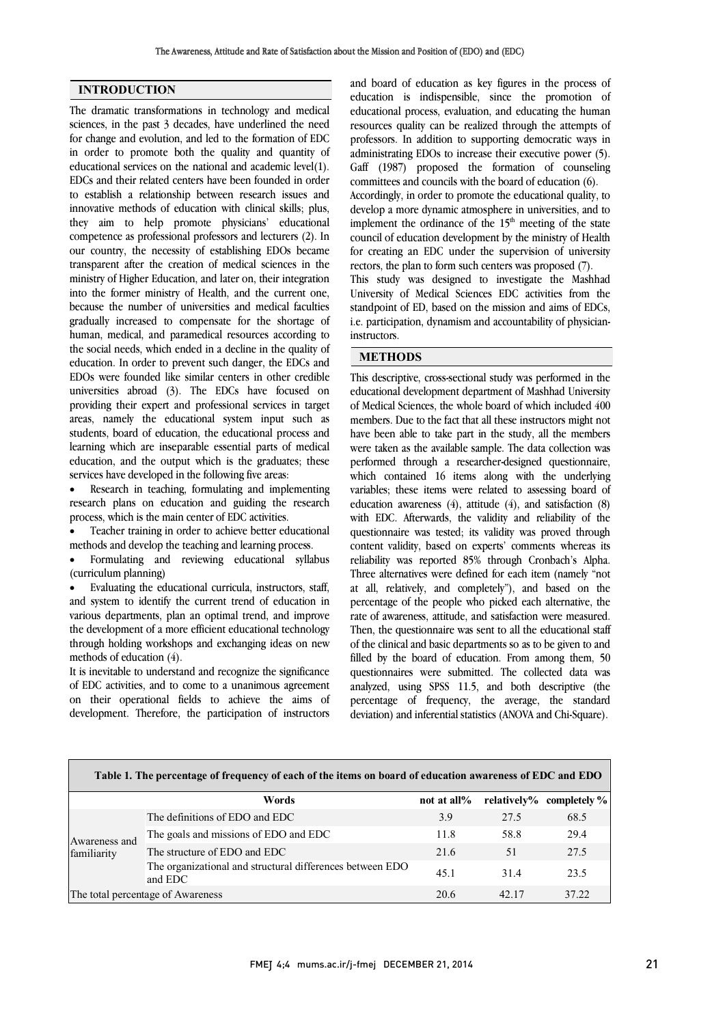### INTRODUCTION

The dramatic transformations in technology and medical sciences, in the past 3 decades, have underlined the need for change and evolution, and led to the formation of EDC in order to promote both the quality and quantity of educational services on the national and academic level(1). EDCs and their related centers have been founded in order to establish a relationship between research issues and innovative methods of education with clinical skills; plus, they aim to help promote physicians' educational competence as professional professors and lecturers (2). In our country, the necessity of establishing EDOs became transparent after the creation of medical sciences in the ministry of Higher Education, and later on, their integration into the former ministry of Health, and the current one, because the number of universities and medical faculties gradually increased to compensate for the shortage of human, medical, and paramedical resources according to the social needs, which ended in a decline in the quality of education. In order to prevent such danger, the EDCs and EDOs were founded like similar centers in other credible universities abroad (3). The EDCs have focused on providing their expert and professional services in target areas, namely the educational system input such as students, board of education, the educational process and learning which are inseparable essential parts of medical education, and the output which is the graduates; these services have developed in the following five areas:

 Research in teaching, formulating and implementing research plans on education and guiding the research process, which is the main center of EDC activities.

 Teacher training in order to achieve better educational methods and develop the teaching and learning process.

 Formulating and reviewing educational syllabus (curriculum planning)

 Evaluating the educational curricula, instructors, staff, and system to identify the current trend of education in various departments, plan an optimal trend, and improve the development of a more efficient educational technology through holding workshops and exchanging ideas on new methods of education (4).

It is inevitable to understand and recognize the significance of EDC activities, and to come to a unanimous agreement on their operational fields to achieve the aims of development. Therefore, the participation of instructors

 and board of education as key figures in the process of education is indispensible, since the promotion of educational process, evaluation, and educating the human resources quality can be realized through the attempts of administrating EDOs to increase their executive power (5). Gaff (1987) proposed the formation of counseling committees and councils with the board of education (6). Accordingly, in order to promote the educational quality, to implement the ordinance of the  $15<sup>th</sup>$  meeting of the state council of education development by the ministry of Health for creating an EDC under the supervision of university rectors, the plan to form such centers was proposed (7). University of Medical Sciences EDC activities from the standpoint of ED, based on the mission and aims of EDCs, i.e. participation, dynamism and accountability of physician- instructors. professors. In addition to supporting democratic ways in develop a more dynamic atmosphere in universities, and to This study was designed to investigate the Mashhad

#### METHODS

 This descriptive, cross-sectional study was performed in the educational development department of Mashhad University of Medical Sciences, the whole board of which included 400 have been able to take part in the study, all the members were taken as the available sample. The data collection was performed through a researcher-designed questionnaire, which contained 16 items along with the underlying education awareness (4), attitude (4), and satisfaction (8) with EDC. Afterwards, the validity and reliability of the questionnaire was tested; its validity was proved through content validity, based on experts' comments whereas its Three alternatives were defined for each item (namely "not at all, relatively, and completely"), and based on the percentage of the people who picked each alternative, the rate of awareness, attitude, and satisfaction were measured. of the clinical and basic departments so as to be given to and filled by the board of education. From among them, 50 questionnaires were submitted. The collected data was analyzed, using SPSS 11.5, and both descriptive (the deviation) and inferential statistics (ANOVA and Chi-Square). members. Due to the fact that all these instructors might not variables; these items were related to assessing board of reliability was reported 85% through Cronbach's Alpha. Then, the questionnaire was sent to all the educational staff percentage of frequency, the average, the standard

| Table 1. The percentage of frequency of each of the items on board of education awareness of EDC and EDO |                                                                      |             |       |                          |
|----------------------------------------------------------------------------------------------------------|----------------------------------------------------------------------|-------------|-------|--------------------------|
|                                                                                                          | Words                                                                | not at all% |       | relatively% completely % |
| Awareness and<br>familiarity                                                                             | The definitions of EDO and EDC                                       | 3.9         | 27.5  | 68.5                     |
|                                                                                                          | The goals and missions of EDO and EDC                                | 11.8        | 58.8  | 29.4                     |
|                                                                                                          | The structure of EDO and EDC                                         | 21.6        | 51    | 27.5                     |
|                                                                                                          | The organizational and structural differences between EDO<br>and EDC | 45.1        | 314   | 23.5                     |
| The total percentage of Awareness                                                                        |                                                                      | 20.6        | 42.17 | 37.22                    |

j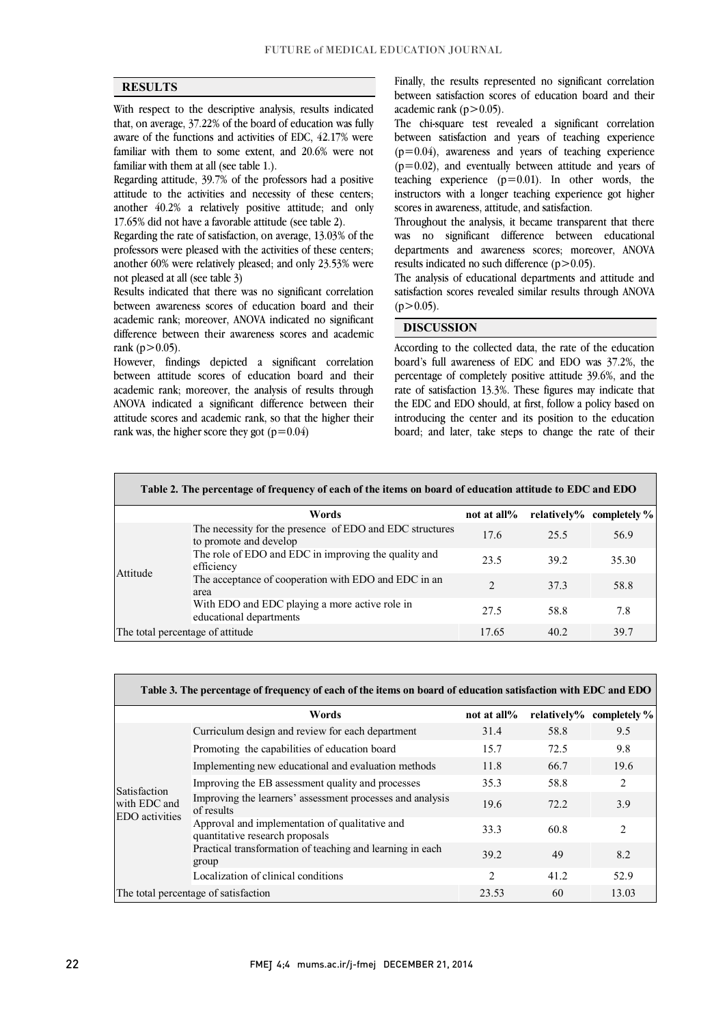$\overline{a}$ ֦

### **RESULTS**

 With respect to the descriptive analysis, results indicated  $\alpha$ aware of the functions and activities of EDC, 42.17% were familiar with them to some extent, and 20.6% were not that, on average, 37.22% of the board of education was fully familiar with them at all (see table 1.).

 Regarding attitude, 39.7% of the professors had a positive attitude to the activities and necessity of these centers; 17.65% did not have a favorable attitude (see table 2). another 40.2% a relatively positive attitude; and only

 Regarding the rate of satisfaction, on average, 13.03% of the professors were pleased with the activities of these centers; another 60% were relatively pleased; and only 23.53% were not pleased at all (see table 3)

 Results indicated that there was no significant correlation between awareness scores of education board and their academic rank; moreover, ANOVA indicated no significant difference between their awareness scores and academic rank ( $p > 0.05$ ).

 However, findings depicted a significant correlation between attitude scores of education board and their academic rank; moreover, the analysis of results through attitude scores and academic rank, so that the higher their ANOVA indicated a significant difference between their rank was, the higher score they got  $(p=0.04)$ 

 Finally, the results represented no significant correlation between satisfaction scores of education board and their academic rank  $(p>0.05)$ .

 The chi-square test revealed a significant correlation  $(p=0.04)$ , awareness and years of teaching experience  $(p=0.02)$ , and eventually between attitude and years of teaching experience (p=0.01). In other words, the instructors with a longer teaching experience got higher between satisfaction and years of teaching experience scores in awareness, attitude, and satisfaction.

 Throughout the analysis, it became transparent that there was no significant difference between educational departments and awareness scores; moreover, ANOVA results indicated no such difference  $(p>0.05)$ .

The analysis of educational departments and attitude and satisfaction scores revealed similar results through ANOVA  $(p>0.05)$ .

٦

### DISCUSSION

 According to the collected data, the rate of the education board's full awareness of EDC and EDO was 37.2%, the percentage of completely positive attitude 39.6%, and the rate of satisfaction 13.3%. These figures may indicate that introducing the center and its position to the education board; and later, take steps to change the rate of their the EDC and EDO should, at first, follow a policy based on

| Table 2. The percentage of frequency of each of the items on board of education attitude to EDC and EDO |                                                                                    |                |      |                          |
|---------------------------------------------------------------------------------------------------------|------------------------------------------------------------------------------------|----------------|------|--------------------------|
|                                                                                                         | Words                                                                              | not at all%    |      | relatively% completely % |
| Attitude                                                                                                | The necessity for the presence of EDO and EDC structures<br>to promote and develop | 17.6           | 25.5 | 56.9                     |
|                                                                                                         | The role of EDO and EDC in improving the quality and<br>efficiency                 | 23.5           | 39.2 | 35.30                    |
|                                                                                                         | The acceptance of cooperation with EDO and EDC in an<br>area                       | $\mathfrak{D}$ | 373  | 58.8                     |
|                                                                                                         | With EDO and EDC playing a more active role in<br>educational departments          | 27.5           | 58.8 | 7.8                      |
| The total percentage of attitude                                                                        |                                                                                    | 17.65          | 40.2 | 39.7                     |

| Table 3. The percentage of frequency of each of the items on board of education satisfaction with EDC and EDO |                                                                                   |                |             |                |
|---------------------------------------------------------------------------------------------------------------|-----------------------------------------------------------------------------------|----------------|-------------|----------------|
|                                                                                                               | Words                                                                             | not at all%    | relatively% | completely %   |
| <b>Satisfaction</b><br>with EDC and<br><b>EDO</b> activities                                                  | Curriculum design and review for each department                                  | 31.4           | 58.8        | 9.5            |
|                                                                                                               | Promoting the capabilities of education board                                     | 15.7           | 72.5        | 9.8            |
|                                                                                                               | Implementing new educational and evaluation methods                               | 11.8           | 66.7        | 19.6           |
|                                                                                                               | Improving the EB assessment quality and processes                                 | 35.3           | 58.8        | 2              |
|                                                                                                               | Improving the learners' assessment processes and analysis<br>of results           | 19.6           | 72.2        | 3.9            |
|                                                                                                               | Approval and implementation of qualitative and<br>quantitative research proposals | 33.3           | 60.8        | $\mathfrak{D}$ |
|                                                                                                               | Practical transformation of teaching and learning in each<br>group                | 39.2           | 49          | 8.2            |
|                                                                                                               | Localization of clinical conditions                                               | $\mathfrak{D}$ | 41.2        | 52.9           |
| The total percentage of satisfaction                                                                          |                                                                                   | 23.53          | 60          | 13.03          |